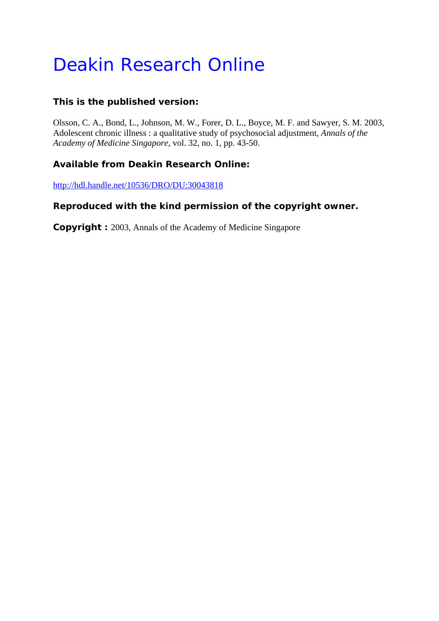# Deakin Research Online

# **This is the published version:**

Olsson, C. A., Bond, L., Johnson, M. W., Forer, D. L., Boyce, M. F. and Sawyer, S. M. 2003, Adolescent chronic illness : a qualitative study of psychosocial adjustment*, Annals of the Academy of Medicine Singapore*, vol. 32, no. 1, pp. 43-50.

# **Available from Deakin Research Online:**

http://hdl.handle.net/10536/DRO/DU:30043818

# **Reproduced with the kind permission of the copyright owner.**

**Copyright :** 2003, Annals of the Academy of Medicine Singapore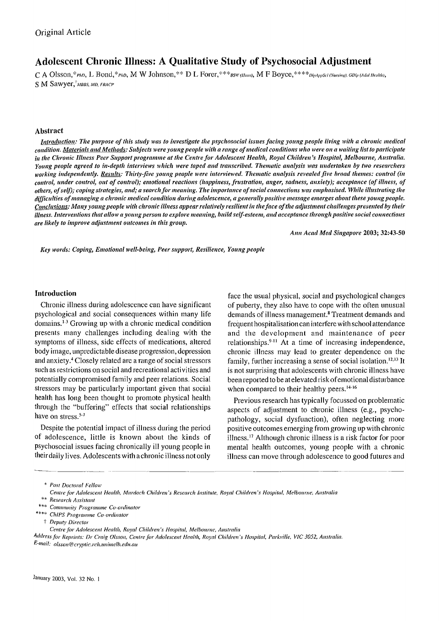# **Adolescent Chronic Illness: A Qualitative Study of Psychosocial Adjustment**

C A Olsson,\*PhD, L Bond,\*PhD, M W Johnson,\*\* D L Forer,\*\*\*BSW (Hons), M F Boyce,\*\*\*\*DipAppSci (Nursing). GDip (Adol Health), S M Sawyer,<sup>†</sup>MBBS, MD, FRACP

#### **Abstract**

*Introduction: The purpose of this study was to investigate the psychosocial issues facing young people living with a chronic medical* condition. Materials and Methods: Subjects were young people with a range of medical conditions who were on a waiting list to participate in the Chronic Illness Peer Support programme at the Centre for Adolescent Health, Royal Children's Hospital, Melbourne, Australia. *Young people agreed to in-depth interviews which were taped and transcribed. Thematic analysis was undertaken by two researchers working independently. Results: Thirty-five young people were interviewed. Thematic analysis revealed five broad themes: cOl/trol (in*  control, under control, out of control); emotional reactions (happiness, frustration, anger, sadness, anxiety); acceptance (of illness, of others, of self); coping strategies, and; a search for meaning. The importance of social connections was emphasised. While illustrating the difficulties of managing a chronic medical condition during adolescence, a generally positive message emerges about these young people. *Conclusions: Many young people with chronic illness appear relatively resilient in the face of the adjustment challenges presented by their illness. Interventions that allow a young person to explore meaning, build self-esteem, and acceptance through positive social connections are likely to improve adjustment outcomes in this group.* 

*Ann Acad Med Sillgapore* 2003; 32:43-50

Key words: Coping, Emotional well-being, Peer support, Resilience, Young people

#### **Introduction**

Chronic illness during adolescence can have significant psychological and social consequences within many life domains. )-3 Growing up with a chronic medical condition presents many challenges including dealing with the symptoms of illness, side effects of medications, altered body image, unpredictable disease progression, depression and anxiety.4 Closely related are a range of social stressors such as restrictions on social and recreational acti vi ties and potentially compromised family and peer relations. Social stressors may be particularly important given that social health has long been thought to promote physical health through the "buffering" effects that social relationships have on stress.<sup>5-7</sup>

Despite the potential impact of illness during the period of adolescence, little is known about the kinds of psychosocial issues facing chronically ill young people in their daily Jives. Adolescents with a chronic illness not only

face the usual physical, social and psychological changes of puberty, they also have to cope with the often unusual demands of illness management.<sup>8</sup> Treatment demands and frequent hospitalisation can interfere with school attendance and the development and maintenance of peer relationships.<sup>9-11</sup> At a time of increasing independence, chronic illness may lead to greater dependence on the family, further increasing a sense of social isolation.<sup>12,13</sup> It is not surprising that adolescents with chronic illness have been reported to be at elevated risk of emotional disturbance when compared to their healthy peers.<sup>14.16</sup>

Previous research has typically focussed on problematic aspects of adjustment to chronic illness (e.g., psychopathology, social dysfunction), often neglecting more positive outcomes emerging from growing up with chronic illness.17 Although chronic illness is a risk factor for poor mental health outcomes, young people with a chronic illness can move through adolescence to good futures and

Address for Reprints: Dr Craig Olsson, Centre for Adolescent Health, Royal Children's Hospital, Parkville, VIC 3052, Australia. *E-mail: olsSOn@CI)1}lic.ldl.llllilllelb.edu.(l1I* 

*<sup>•</sup> POSI Docloral Fellow* 

*Celllre for Adolescelll Healill. Murdoch Children's Research Inslilllie. Royal Children's Hospilol, Melboume. Auslralia* .\* *Research Assislanl* 

<sup>\* ••</sup> *COlIl/llll11il), Programme Co-ordin(lIOr* \*.\*. *ChiPS Programme Co-ordinator* 

t *Depltty Direc(or* 

Centre for Adolescent Health, Royal Children's Hospital, Melbourne, Australia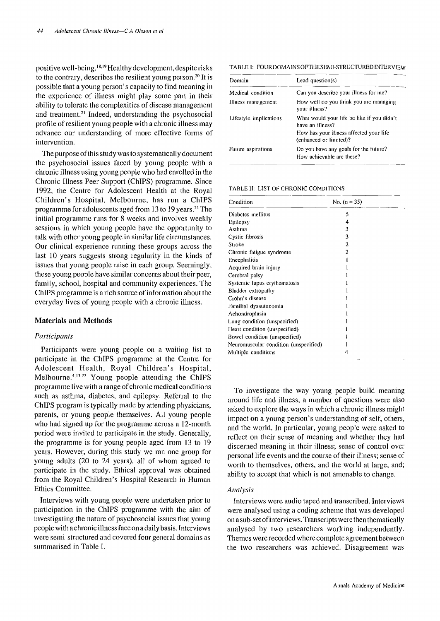positive well-being. 18. 19 Healthy development, despite risks to the contrary, describes the resilient young person.<sup>20</sup> It is possible that a young person's capacity to find meaning in the experience of illness might play some part in their ability to tolerate the complexities of disease management and treatment.<sup>21</sup> Indeed, understanding the psychosocial profile of resilient young people with a chronic illness may advance our understanding of more effective forms of intervention.

The purpose of this study was to systematically document the psychosocial issues faced by young people with a chronic illness using young people who had enrolled in the Chronic Illness Peer Support (ChIPS) programme. Since 1992, the Centre for Adolescent Health at the Royal Children's Hospital, Melbourne, has run a ChIPS programme for adolescents aged from 13 to 19 years. 22 The initial programme runs for 8 weeks and involves weekly sessions in which young people have the opportunity to talk with other young people in similar life circumstances. Our clinical experience running these groups across the last 10 years suggests strong regularity in the kinds of issues that young people raise in each group. Seemingly, these young people have similar concerns about their peer, family, school, hospital and community experiences. The ChIPS programme is a rich source of information about the everyday lives of young people with a chronic illness.

#### Materials **and** Methods

#### *Participants*

Participants were young people on a waiting list to participate in the ChIPS programme at the Centre for Adolescent Health, Royal Children's Hospital, Melbourne.<sup>4,13,22</sup> Young people attending the ChIPS programme live with a range of chronic medical conditions such as asthma, diabetes, and epilepsy. Referral to the ChIPS program is typically made by attending physicians, parents, or young people themselves. All young people who had signed up for the programme across a 12-month period were invited to participate in the study. Generally, the programme is for young people aged from 13 to 19 years. However, during this study we ran one group for young adults (20 to 24 years), all of whom agreed to participate in the study. Ethical approval was obtained from the Royal Children's Hospital Research in Human Ethics Committee.

Interviews with young people were undertaken prior to participation in the ChIPS programme with the aim of investigating the nature of psychosocial issues that young people with a chronic illness face on a daily basis. Interviews were semi-structured and covered four general domains as summarised in Table I.

TABLE I: FOURDOMAINSOFTHESEMI-STRUCTUREDINTERVIEW

| Domain                 | Lead question(s)                                                   |  |
|------------------------|--------------------------------------------------------------------|--|
| Medical condition      | Can you describe your illness for me?                              |  |
| Illness management     | How well do you think you are managing<br>your illness?            |  |
| Lifestyle implications | What would your life be like if you didn't<br>have an illness?     |  |
|                        | How has your illness affected your life<br>(enhanced or limited)?  |  |
| Future aspirations     | Do you have any goals for the future?<br>How achievable are these? |  |

TABLE II: LIST OF CHRONIC CONDITIONS

| Condition                             | No. $(n = 35)$ |  |
|---------------------------------------|----------------|--|
| Diabetes mellitus                     | 5              |  |
| Epilepsy                              | 4              |  |
| Asthma                                | 3              |  |
| Cystic fibrosis                       | 3              |  |
| Stroke                                | 2              |  |
| Chronic fatigue syndrome              | 2              |  |
| Encephalitis                          |                |  |
| Acquired brain injury                 |                |  |
| Cerebral palsy                        |                |  |
| Systemic lupus erythematosis          |                |  |
| Bladder extropathy                    |                |  |
| Crohn's disease                       |                |  |
| Familial dysautonomia                 |                |  |
| Achondroplasia                        |                |  |
| Lung condition (unspecified)          |                |  |
| Heart condition (unspecified)         |                |  |
| Bowel condition (unspecified)         |                |  |
| Neuromuscular condition (unspecified) |                |  |
| Multiple conditions                   | 4              |  |

To investigate the way young people build meaning around life and illness, a number of questions were also asked to explore the ways in which a chronic illness might impact on a young person's understanding of self, others, and the world. In particular, young people were asked to reflect on their sense of meaning and whether they had discerned meaning in their illness; sense of control over personal life events and the course of their illness; sense of worth to themselves, others, and the world at large, and; ability to accept that which is not amenable to change.

### *Analysis*

Interviews were audio taped and transcribed. Interviews were analysed using a coding scheme that was developed on a sub-set of interviews. Transcripts were then thematicaJly analysed by two researchers working independently. Themes were recorded where complete agreement between the two researchers was achieved. Disagreement was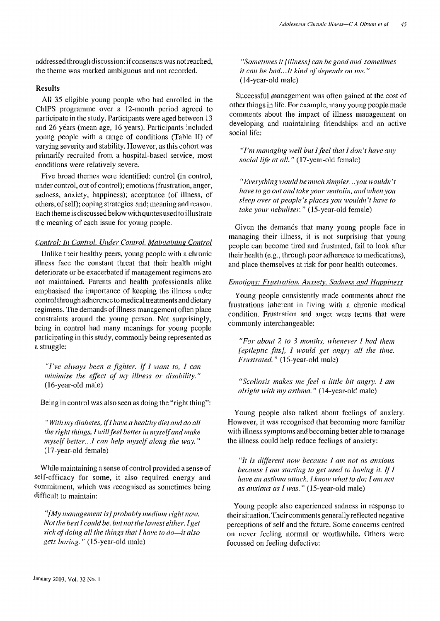addressed through discussion: if consensus was not reached, the theme was marked ambiguous and not recorded.

#### Results

All 35 eligible young people who had enrolled in the ChIPS programme over a 12-month period agreed to participate in the study. Participants were aged between 13 and 26 years (mean age, 16 years). Participants included young people with a range of conditions (Table II) of varying severity and stability. However, as this cohort was primarily recruited from a hospital-based service, most conditions were relatively severe.

Five broad themes were identified: control (in control, under control, out of control); emotions (frustration, anger, sadness, anxiety, happiness); acceptance (of illness, of others, of self); coping strategies and; meaning and reason. Each theme is discussed below with quotes used to illustrate the meaning of each issue for young people.

#### **Control: In Control, Under Control, Maintaining Control**

Unlike their healthy peers, young people with a chronic illness face the constant threat that their health might deteriorate or be exacerbated if management regimens are not maintained. Parents and health professionals alike emphasised the importance of keeping the illness under control through adherence to medical treatments and dietary regimens. The demands of illness management often place constraints around the young person. Not surprisingly, being in control had many meanings for young people participating in this study, commonly being represented as a struggle:

*"I've always been a fighter.* If *I want to, I can minimise the effect of my illness or disability."* (l6-year-old male)

Being in control was also seen as doing the "right thing":

*"With my diabetes, if! have a healthy diet and do all the right things, I will feel better in myself and make myself better ..* .I *can help myself along the way. "*  (17 -year-old female)

While maintaining a sense of control provided a sense of self-efficacy for some, it also required energy and commitment, which was recognised as sometimes being difficult to maintain:

*"[My management* is] *probably mediul/I right* 11011'. *Not the best I could be, but not the lowest either. I get sick of doing aff the things that I have to do-it also gets boring.* " (l5-year-old male)

*"Sometimes it [illness] can be good and sometimes it can be bad...It kind of depends on me.*" ( 14-year-old male)

Successful management was often gained at the cost of other things in life. For example, many young people made comments about the impact of illness management on developing and maintaining friendships and an active social life:

*"I'm managing well but I feel that I don't have any social life at all."* (17-year-old female)

*"Everything would be I1IlIch simpler ... you wOlddn't have to go out and take your ventolin, and when you*  $s$ *leep over at people's places you wouldn't have to* take your nebuliser." (15-year-old female)

Given the demands that many young people face in managing their illness, it is not surprising that young people can become tired and frustrated, fail to look after their health (e.g., through poor adherence to medications), and place themselves at risk for poor health outcomes.

## *Emotions: Frustration, Anxiety, Sadness and Happiness*

Young people consistently made comments about the frustrations inherent in living with a chronic medical condition. Frustration and anger were terms that were commonly interchangeable:

*"For about* 2 *to* 3 *months, whenever I had them [epileptic fits], I would get angry all the time. Frustrated.* " (16-year-old male)

*"Scoliosis lIIakes lIIe feel a little bit angl)'. I am alright with my asthma.*" (14-year-old male)

Young people also talked about feelings of anxiety. However, it was recognised that becoming more familiar with illness symptoms and becoming better able to manage the illness could help reduce feelings of anxiety:

*"It is different now because I am not as anxious because I am starting to get used to having it. If I have an asthma attack, I know what to do; I am not as anxious as I was.*" (15-year-old male)

Young people also experienced sadness in response to their situation. Their comments generally reflected negative perceptions of self and the future. Some concerns centred on never feeling normal or worthwhile. Others were focussed on feeling defective: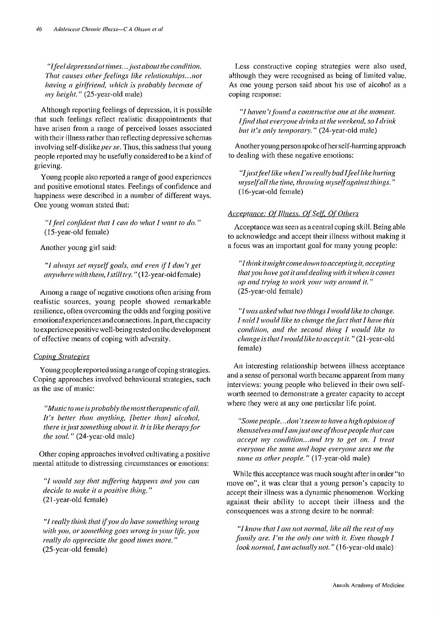*"If eel depressed at times ... jllst aboullhe condition That causes other feelings like relationships...not having a girlfriend, which is probably because of my height.*" (25-year-old male)

Although reporting feelings of depression, it is possible that such feelings reflect realistic disappointments that have arisen from a range of perceived losses associated with their illness rather than reflecting depressive schemas involving self-dislike *per se.* Thus, this sadness that young people reported may be usefully considered to be a kind of grieving.

Young people also reported a range of good experiences and positive emotional states. Feelings of confidence and happiness were describcd in a number of different ways. One young woman stated that:

"I feel confident that I can do what I want to do." (15-year-old female)

Another young girl said:

"I always set myself goals, and even if I don't get *anywhere with them, I still try.* "(12-year-old female)

Among a range of negative emotions often arising from realistic sources, young people showed remarkable resilience, often overcoming the odds and forging positive emotional experiences and connections. In part, the capacity to experience positive well-being rested on the development of effective means of coping with adversity.

#### *Coping Strategies*

Young people reported using a range of coping strategies. Coping approaches involved behavioural strategies, such as the use of music:

*"Music to me is probably the most therapeutic of all. It's better than anything, [better than] alcohol, there isjllst something about it. It* is *like therapyfor the soul.* " (24-year-old male)

Other coping approaches involved cultivating a positive mental attitude to distressing circumstances or emotions:

*"I 1V0uld say that suffering happens and you can decide to make it a positive thing. "*  (21-year-old female)

*HI really think that ifyoll do have something wrong*   $with$  *you, or something goes wrong in your life, you really do appreciate the good times more."* (25-year-old female)

Less constructive coping strategies were also used, although they were recognised as being of limited value. As one young person said about his use of alcohol as a coping response:

HI *havell 't foulld a constructive one at the moment. lfind that everyone drinks at the weekend, so I drink but it's only temporary."* (24-year-old male)

Another young person spokeofherself-harming approach to dealing with these negative emotions:

*"I just feel like when I'll/ really bad Ifeellike hurting /1/yself all the time, throwing 1IIyseifagainst things. "*  (16-year-old female)

## Acceptance: Of Illness, Of Self, Of Others

Acceptance was seen as a central coping skill. Being able to acknowledge and accept their illness without making it a focus was an important goal for many young people:

*"I think it* 111 *ight come down to accepting it, accepting that YOll have got it and dealing with it when it comes up and fI),ing to work your way around it. "*  (25-year-old female)

"I was asked what two things I would like to change. *Isaid I would like to change the fact that I have this condition, and the second thing I would like to change is that I would like to accept it.* "(21-year-old female)

An interesting relationship between illness acceptance and a sense of personal worth became apparent from many interviews: young people who believed in their own selfworth seemed to demonstrate a greater capacity to accept where they were at any one particular life point.

*"Some people ..* . *dOli 't seem* 10 *have a high opinion of themselves and I am just one of those people that can accept my condition...and try to get on. I treat everyone the same and hope everyone sees me the same as other people."* (l7-year-old male)

While this acceptance was much sought after in order "to move on", it was clear that a young person's capacity to accept their illness was a dynamic phenomenon. Working against their ability to accept their illness and the consequences was a strong desire to be normal:

"I know that I am not normal, like all the rest of my *family are. I'm the only one with it. Even though I look normal, I am actually not."* (16-year-old male)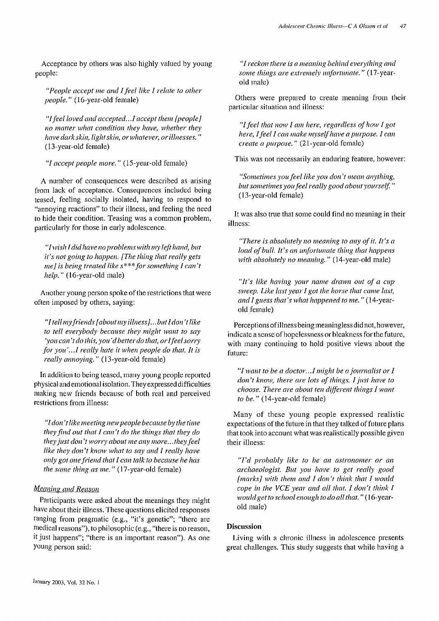Acceptance by others was also highly valued by young people:

*"People accept me and I feel like I relate to other people."* (I6-year-old female)

*"Ifeelloved and accepted .. .l accept them {people] 110 matter what condition they have, whether they have dark skin, light skin, or whatever, or illnesses.*" (I3-year-old female)

*"I accept people more.* " (I5-year-old female)

A number of consequences were described as arising from lack of acceptance. Consequences included being teased, feeling socially isolated, having to respond to "annoying reactions" to their illness, and feeling the need to hide their condition. Teasing was a common problem, particularly for those in early adolescence.

*"I wish I did have no problems with my left hand, but it's not going to happen. [The thing that really gets me] is being treated like s\*\*\* for something I can't help.* " (I6-year-old male)

Another young person spoke of the restrictions that were often imposed by others, saying:

*"I tellmyfriel1ds (about* m)' *illlless} ... but I don't like to tell everybody because they might want to say* 'you can't do this, you'd better do that, or I feel sorry *for you ' .. .l really hate it when people do that. It is really annoying.*" (13-year-old female)

In addition to being teased, many young people reported physical and emotional isolation. They expressed difficulties making new friends because of both real and perceived restrictions from illness:

*"I don't like meeting new people because by the time they find alit that I can't do the things that they do they just don't worry about me any more... they feel like they don't know what to say and I really have only got one friend that I can talk to because he has the same thing as me.*" (17-year-old female)

## *Meaning and Reason*

Participants were asked about the meanings they might have about their illness. These questions elicited responses ranging from pragmatic (e.g., "it's genetic"; "there are medical reasons"), to philosophic (e.g., "there is no reason, it just happens"; "there is an important reason"). As one young person said:

*"I reckon there is a meaning behind everything and some things are extremely unfortunate.*" (17-yearold male)

Others were prepared to create meaning from their particular situation and illness:

*"I feel that now I am here, regardless of how I got here, I feel I can make myself have a purpose. I can create a purpose."* (21-year-old female)

This was not necessarily an enduring feature, however:

*"Sometimes you feel like you dOl! 't mean allY thing,*  but sometimes you feel really good about yourself." (l3-year-old female)

It was also true that some could find no meaning in their illness:

*"There is absolutely no meaning to any of it. It's a load of bull. It's an unfortunate thing that happens with absolutely no meaning.*" (14-year-old male)

*"It's like having your name drawn alit of a cup sweep. Like last year I got the horse that came last, and I guess that's what happened to me.* " (14-yearold female)

Perceptions of illness being meaningless did not, however, indicate a sense of hopelessness or bleakness for the future, with many continuing to hold positive views about the future:

*"I want to be a doctor ... I might be a journalist or I don't know, there are lots of things. I just have to choose. There are abollt ten different things I want to be."* (14-year-old female)

Many of these young people expressed realistic expectations of the future in that they talked of future plans that took into account what was realistically possible given their illness:

*"I'd probably like to be an astronomer or an archaeologist. But you have to get really good {marks} with them and I don't think that I would cope in the VCE year and all that. I don't think I would get to school enough to do all that.* " (16-yearold male)

## Discussion

Living with a chronic illness in adolescence presents great challenges. This study suggests that while having a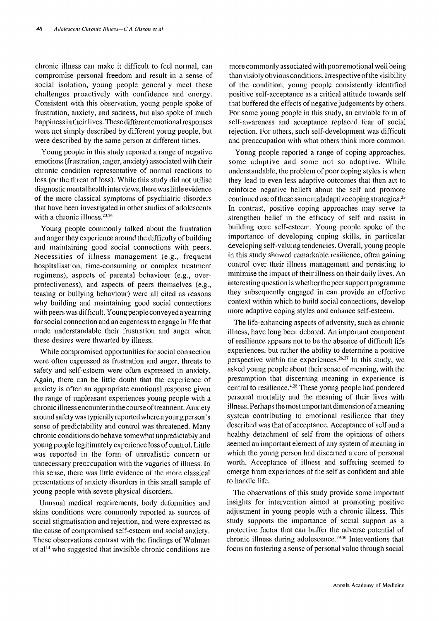chronic illness can make it difficult to feel normal, can compromise personal freedom and result in a sense of social isolation, young people generally meet these challenges proactively with confidence and energy. Consistent with this observation, young people spoke of frustration, anxiety, and sadness, but also spoke of much happiness in their lives. Thesedifferent emotional responses were not simply described by different young people, but were described by the same person at different times.

Young people in this study reported a range of negative emotions (frustration, anger, anxiety) associated with their chronic condition representative of normal reactions to loss (or the threat of loss). While this study did not utilise diagnostic mental health interviews, there was little evidence of the more classical symptoms of psychiatric disorders that have been investigated in other studies of adolescents with a chronic illness.<sup>23,24</sup>

Young people commonly talked about the frustration and anger they experience around the difficulty of building and maintaining good social connections with peers. Necessities of illness management (e.g., frequent hospitalisation, time-consuming or complex treatment regimens), aspects of parental behaviour (e.g., overprotectiveness), and aspects of peers themselves (e.g., teasing or bullying behaviour) were all cited as reasons why building and maintaining good social connections with peers was difficult. Young people conveyed a yearning for social connection and an eagerness to engage in life that made understandable their frustration and anger when these desires were thwarted by illness.

While compromised opportunities for social connection were often expressed as frustration and anger, threats to safety and self-esteem were often expressed in anxiety. Again, there can be little doubt that the experience of anxiety is often an appropriate emotional response given the range of unpleasant experiences young people with a chronic illness encounter in the course of treatment. Anxiety around safety was typically reported where a young person's sense of predictability and control was threatened. Many chronic conditions do behave somewhat unpredictably and young people legitimately experience loss of control. Little was reported in the form of unrealistic concern or unnecessary preoccupation with the vagaries of illness. In this sense, there was little evidence of the more classical presentations of anxiety disorders in this small sample of young people with severe physical disorders.

Unusual medical requirements, body deformities and skins conditions were commonly reported as sources of social stigmatisation and rejection, and were expressed as the cause of compromised self-esteem and social anxiety. These observations contrast with the findings of Wolman et al<sup>14</sup> who suggested that invisible chronic conditions are more commonly associated with poor emotional well being than visibly obvious conditions. Irrespective of the visibility of the condition, young people consistently identified positive self-acceptance as a critical attitude towards self that buffered the effects of negative judgements by others. For some young people in this study, an enviable form of self-awareness and acceptance replaced fear of social rejection. For others, such self-development was difficult and preoccupation with what others think more common.

Young people reported a range of coping approaches, some adaptive and some not so adaptive. While understandable, the problem of poor coping styles is when they lead to even less adaptive outcomes that then act to reinforce negative beliefs about the self and promote continued use of these same maladaptive coping strategies. <sup>25</sup> In contrast, positive coping approaches may serve to strengthen belief in the efficacy of self and assist in building core self-esteem. Young people spoke of the importance of developing coping skills, in particular developing self-valuing tendencies. Overall, young people in this study showed remarkable resilience, often gaining control over their illness management and persisting to minimise the impact of their illness on their daily lives. An intercsting question is whether the peer support programme they subsequently engaged in can provide an effective context within which to build social connections, develop more adaptive coping styles and enhance self-esteem.

The life-enhancing aspects of adversity, such as chronic illness, have long been debated. An important component of resilience appears not to be the absence of difficult life experiences, but rather the ability to determine a positive perspective within the experiences.<sup>26,27</sup> In this study, we asked young people about their sense of meaning, with the presumption that discerning mcaning in experience is central to resilience.<sup>4,28</sup> These young people had pondered personal mortality and the meaning of their lives with illness. Perhaps the most important dimension of a meaning system contributing to emotional resilience that they described was that of acceptance. Acceptance of self and a healthy detachment of self from the opinions of others seemed an important element of any system of meaning in which the young person had discerned a core of personal worth. Acceptance of illness and suffering seemed to emerge from experiences of the self as confident and able to handle life.

The observations of this study provide some important insights for intervention aimed at promoting positive adjustment in young people with a chronic illness. This study supports the importance of social support as a protective factor that can buffer the adverse potential of chronic illness during adolescence. 29. 3o Interventions that focus on fostering a sense of personal value through social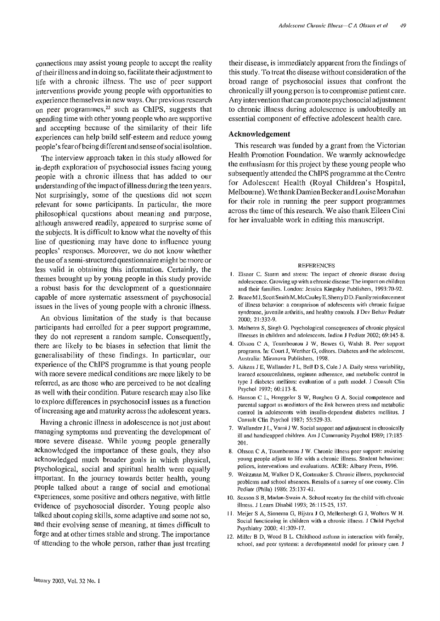connections may assist young people to accept the reality oftheir illness and in doing so, facilitate their adjustment to life with a chronic illness. The use of peer support interventions provide young people with opportunities to experience themselves in new ways. Our previous research on peer programmes,<sup>22</sup> such as ChIPS, suggests that spending time with other young people who are supportive and accepting because of the similarity of their life experiences can help build self-esteem and reduce young people's fearofbeing different and sense of social isolation.

The interview approach taken in this study allowed for in-depth exploration of psychosocial issues facing young people with a chronic illness that has added to our understanding of the impact of illness during the teen years. Not surprisingly, some of the questions did not seem relevant for some participants. In particular, the more philosophical questions about meaning and purpose, although answered readily, appeared to surprise some of the subjects. It is difficult to know what the novelty ofthis line of questioning may have done to influence young peoples' responses. Moreover, we do not know whether the use of a semi-structured questionnaire might be more or less valid in obtaining this information. Certainly, the themes brought up by young people in this study provide a robust basis for the development of a questionnaire capable of more systematic assessment of psychosocial issues in the lives of young pcople with a chronic illness.

An obvious limitation of the study is that because participants had enrolled for a peer support programme, they do not represent a random sample. Consequently, there are likely to be biases in selection that limit the generalisability of these findings. In particular, our experience of the ChIPS programme is that young people with more severe medical conditions are more likely to be referred, as are those who are perceived to be not dealing as well with their condition. Future research may also like to explore differences in psychosocial issues as a function of increasing age and maturity across the adolescent years.

Having a chronic illness in adolescence is not just about managing symptoms and preventing the development of more severe disease. While young people generally acknowledged the importance of these goals, they also acknowledged much broader goals in which physical, psychological, social and spiritual health were equally important. In the journey towards better health, young people talked about a range of social and emotional experiences, some positive and others negative, with little evidence of psychosocial disorder. Young people also talked about coping skills, some adaptive and some not so, and their evolving sense of meaning, at times difficult to forge and at other times stable and strong. The importance of attending to the whole person, rather than just treating

their disease, is immediately apparent from the findings of this study. To treat the disease without consideration of the broad range of psychosocial issues that confront the chronically ill young person is to compromise patient care. Any intervention that can promote psychosocial adjustment to chronic illness during adolescence is undoubtedly an essential component of effective adolescent health care.

#### Acknowledgement

This research was funded by a grant from the Victorian Health Promotion Foundation. We warmly acknowledge the enthusiasm for this project by these young people who subsequently attended the ChIPS programme at the Centre for Adolescent Health (Royal Children's Hospital, Melbourne). We thank Damien Becker and Louise Monahan for their role in running the peer support programmes across the time of this research. We also thank Eileen Cini for her invaluable work in editing this manuscript.

#### REFERENCES

- I. Eisner C. Storm and stress: The impact of chronic disease during adolescence. Growing up with a chronic disease: The impact on children and their families. London: Jessica Kingsley Publishers, 1993:70-92.
- 2. Brace M J, Scott Smith M, McCauley E, Sheny D D. Family reinforcement of illness behavior: a comparison of adolescents with chronic fatigue syndrome, juvenile arthritis, and healthy controls. J Dev Behav Pediatr 2000; 21 :332-9.
- 3. Malhotra S, Singh G. Psychological consequences of chronic physical illnesses in children and adolescents. Indian J Pediatr 2002; 69:145-8.
- 4. Olsson C A, Toumbourou J W, Bowes G, Walsh B. Peer support programs. In: Court J, Werther G, editors. Diabetes and the adolescent. Australia: Miranova Publishers, 1998.
- 5. Aikens J E, Wallander J L, Bell D S, Cole] A. Daily stress variability, learned resourcefulness, regimen adherence, and metabolic control in type I diabetes mellitus: evaluation of a path model. ] Consult Clin Psychol 1992; 60: 113-8.
- 6. Hanson C L, Henggeler S W, Burghen G A. Social competence and parental support as mediators of the link between stress and metabolic control in adolescents with insulin-dependent diabetes mellitus. J Consult Clin Psychol 1987; 55:529-33.
- 7. Wallander J L, Varni J W. Social support and adjustment in chronically ill and handicapped children. Am J Community Psychol 1989; 17:185- 201.
- Olsson C A, Toumbourou J W. Chronic illness peer support: assisting young people adjust to life with a chronic illness. Student behaviour: polices, interventions and evaluations. ACER: Albany Press, 1996.
- 9. Weitzman M, Walker D K, Gortmaker S. Chronic illness, psychosocial problems and school absences. Results of a survey of one county. Clin Pediacr (Phila) 1986; 25: 137-41.
- 10. Sexson S B, Madan-Swain A. School reentry for the child with chronic illness. J Learn Disabil 1993; 26: 115-25, 137.
- II. Meijer S A, Sinnema G, Bijstra J 0, Mellenbergh G J, Wolters W H. Social functioning in children with a chronic illness. J Child Psychol Psychiatry 2000; 41:309-17.
- 12. Miller B D, Wood B L. Childhood asthma in interaction with family, school, and peer systems: a developmental model for primary care. J